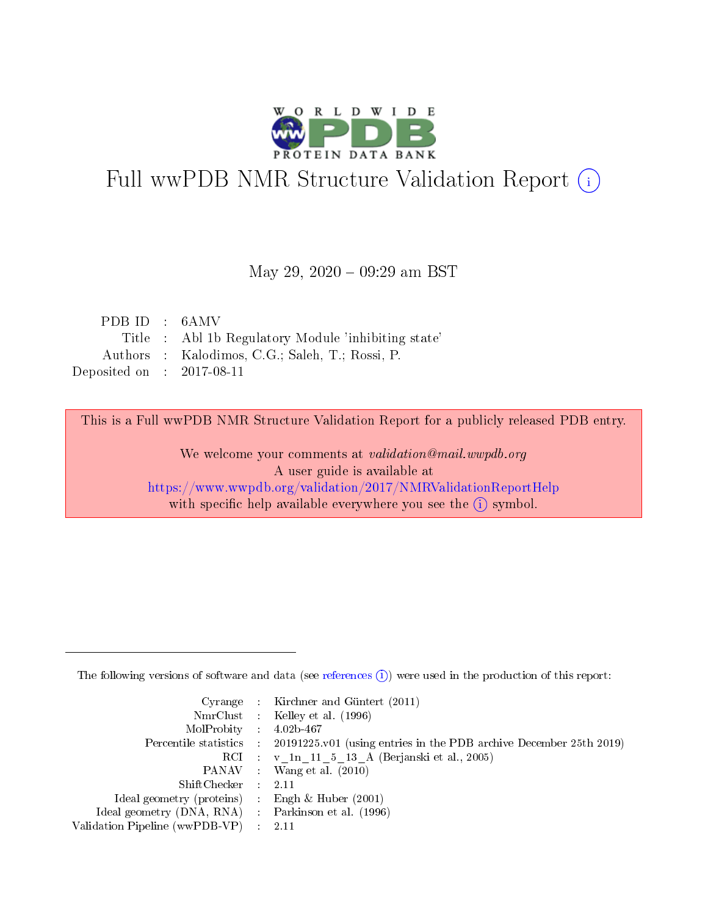

# Full wwPDB NMR Structure Validation Report (i)

#### May 29, 2020 - 09:29 am BST

| PDB ID : 6AMV               |                                                     |
|-----------------------------|-----------------------------------------------------|
|                             | Title : Abl 1b Regulatory Module 'inhibiting state' |
|                             | Authors : Kalodimos, C.G.; Saleh, T.; Rossi, P.     |
| Deposited on : $2017-08-11$ |                                                     |

This is a Full wwPDB NMR Structure Validation Report for a publicly released PDB entry.

We welcome your comments at validation@mail.wwpdb.org A user guide is available at <https://www.wwpdb.org/validation/2017/NMRValidationReportHelp> with specific help available everywhere you see the  $(i)$  symbol.

The following versions of software and data (see [references](https://www.wwpdb.org/validation/2017/NMRValidationReportHelp#references)  $(1)$ ) were used in the production of this report:

|                                                    | Cyrange : Kirchner and Güntert $(2011)$                                                    |
|----------------------------------------------------|--------------------------------------------------------------------------------------------|
|                                                    | NmrClust : Kelley et al. (1996)                                                            |
| $MolProbability$ 4.02b-467                         |                                                                                            |
|                                                    | Percentile statistics : 20191225.v01 (using entries in the PDB archive December 25th 2019) |
|                                                    | RCI : v 1n 11 5 13 A (Berjanski et al., 2005)                                              |
|                                                    | PANAV Wang et al. (2010)                                                                   |
| $ShiftChecker$ : 2.11                              |                                                                                            |
| Ideal geometry (proteins) : Engh $\&$ Huber (2001) |                                                                                            |
| Ideal geometry (DNA, RNA) Parkinson et al. (1996)  |                                                                                            |
| Validation Pipeline (wwPDB-VP)                     | 2.11                                                                                       |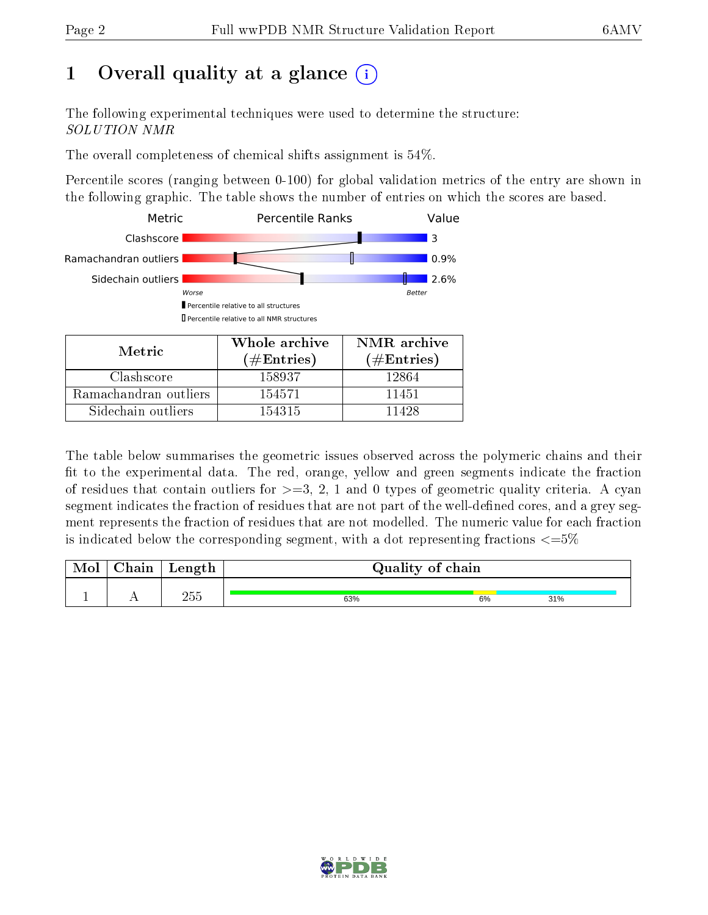# 1 [O](https://www.wwpdb.org/validation/2017/NMRValidationReportHelp#overall_quality)verall quality at a glance (i)

The following experimental techniques were used to determine the structure: SOLUTION NMR

The overall completeness of chemical shifts assignment is 54%.

Percentile scores (ranging between 0-100) for global validation metrics of the entry are shown in the following graphic. The table shows the number of entries on which the scores are based.



Sidechain outliers 154315 11428

The table below summarises the geometric issues observed across the polymeric chains and their fit to the experimental data. The red, orange, yellow and green segments indicate the fraction of residues that contain outliers for  $>=3, 2, 1$  and 0 types of geometric quality criteria. A cyan segment indicates the fraction of residues that are not part of the well-defined cores, and a grey segment represents the fraction of residues that are not modelled. The numeric value for each fraction is indicated below the corresponding segment, with a dot representing fractions  $\epsilon = 5\%$ 

| ${\bf Chain}$ | Length | Quality of chain |    |     |
|---------------|--------|------------------|----|-----|
|               | 255    | 63%              | 6% | 31% |

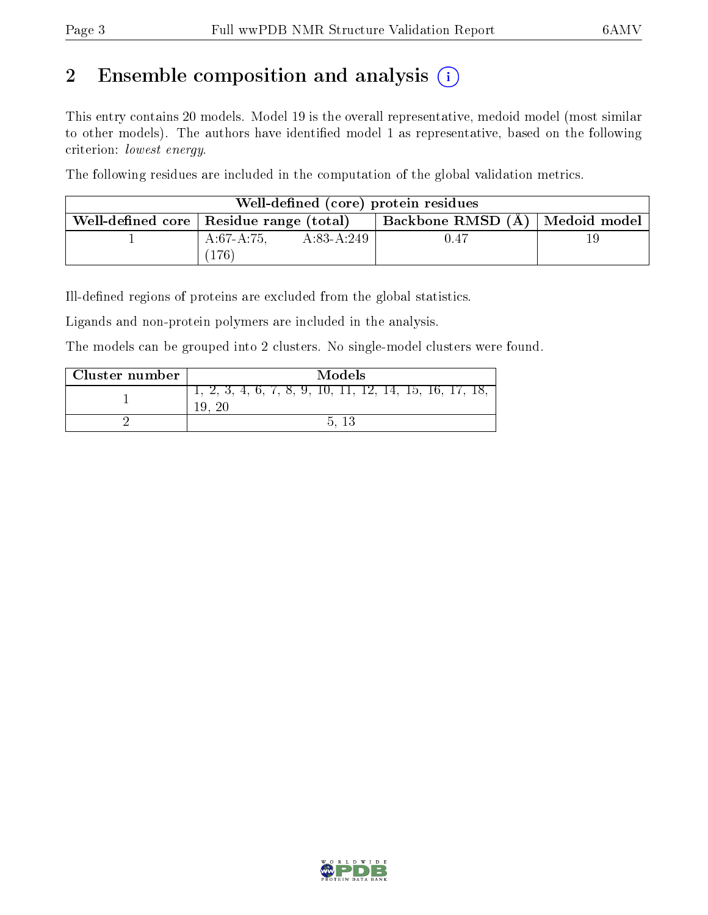# 2 Ensemble composition and analysis  $(i)$

This entry contains 20 models. Model 19 is the overall representative, medoid model (most similar to other models). The authors have identified model 1 as representative, based on the following criterion: lowest energy.

The following residues are included in the computation of the global validation metrics.

|                                           |             |              | Well-defined (core) protein residues |  |
|-------------------------------------------|-------------|--------------|--------------------------------------|--|
| Well-defined core   Residue range (total) |             |              | Backbone RMSD (A)   Medoid model     |  |
|                                           | $A:67-A:75$ | $A:83-A:249$ | 0.47                                 |  |
|                                           | 176         |              |                                      |  |

Ill-defined regions of proteins are excluded from the global statistics.

Ligands and non-protein polymers are included in the analysis.

The models can be grouped into 2 clusters. No single-model clusters were found.

| Cluster number | Models                                         |
|----------------|------------------------------------------------|
|                | $2, 3, 4, 6, 7, 8, 9, 10, 11, 12, 14, 15, 16,$ |
|                | $\mathbf{h}$                                   |

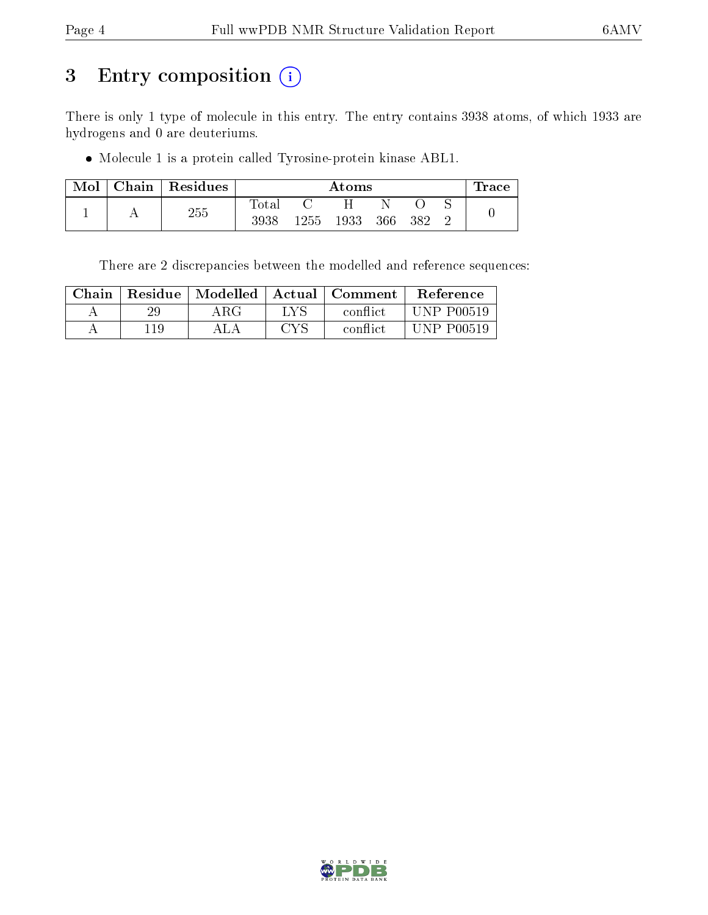# 3 Entry composition (i)

There is only 1 type of molecule in this entry. The entry contains 3938 atoms, of which 1933 are hydrogens and 0 are deuteriums.

Molecule 1 is a protein called Tyrosine-protein kinase ABL1.

| Mol | Chain | $\vert$ Residues |                |      | Atoms |     |     | $\pm$ race |
|-----|-------|------------------|----------------|------|-------|-----|-----|------------|
|     |       |                  | $_{\rm Total}$ |      |       |     |     |            |
|     |       | 255              | 3938           | 1255 | 1933  | 366 | 382 |            |

There are 2 discrepancies between the modelled and reference sequences:

| Chain | Residue | Modelled | - Actual -        | Comment  | <b>Reference</b>  |
|-------|---------|----------|-------------------|----------|-------------------|
|       | 29      | ΑRG      | LVS               | conflict | <b>UNP P00519</b> |
|       | 11Q     |          | $\cap\mathrm{VC}$ | conflict | UNP P00519        |

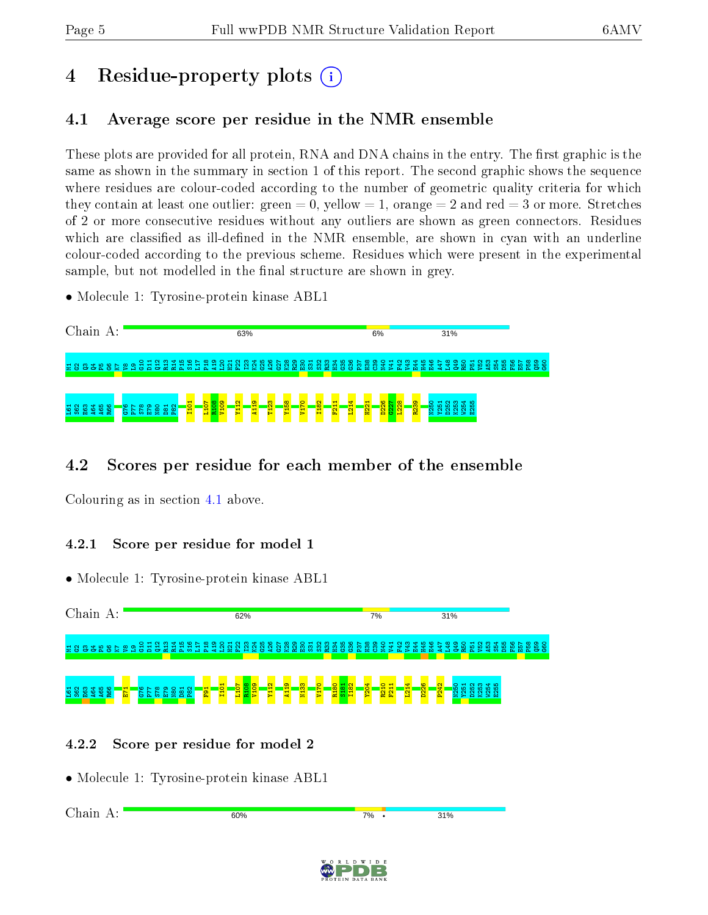# 4 Residue-property plots  $\binom{1}{1}$

# <span id="page-4-0"></span>4.1 Average score per residue in the NMR ensemble

These plots are provided for all protein, RNA and DNA chains in the entry. The first graphic is the same as shown in the summary in section 1 of this report. The second graphic shows the sequence where residues are colour-coded according to the number of geometric quality criteria for which they contain at least one outlier: green  $= 0$ , yellow  $= 1$ , orange  $= 2$  and red  $= 3$  or more. Stretches of 2 or more consecutive residues without any outliers are shown as green connectors. Residues which are classified as ill-defined in the NMR ensemble, are shown in cyan with an underline colour-coded according to the previous scheme. Residues which were present in the experimental sample, but not modelled in the final structure are shown in grey.

• Molecule 1: Tyrosine-protein kinase ABL1

| Chain A:                                                                                 | 63%                                                                                                                                                                                          | 6%                                                                                                           | 31%                                                                                                                                                                     |
|------------------------------------------------------------------------------------------|----------------------------------------------------------------------------------------------------------------------------------------------------------------------------------------------|--------------------------------------------------------------------------------------------------------------|-------------------------------------------------------------------------------------------------------------------------------------------------------------------------|
| 2883882885                                                                               |                                                                                                                                                                                              | <b>B</b><br><b>B</b><br><b>B</b><br><b>B</b><br><b>B</b><br>$\frac{1}{2}$<br><u>श्च</u><br>S.<br>x ><br>- 14 | 88<br>88<br>8<br>္က<br>몲<br>பு<br>H45<br>E <sub>51</sub><br>18.<br>-5<br>뫜<br>÷<br>ιõ<br>≆<br>æ<br><b>British</b><br>75.<br>īò.<br><b>MA</b><br>-a<br><b>B</b> C<br>Dr. |
| MOMCO<br>$0 \wedge 000 \wedge 0$<br>88 <sup>2</sup><br>និ កិ កិ<br>88 G<br>-Fo<br>Б<br>൶ | $\infty$<br>ခြ<br>$\mathbf{a}$<br>$\circ$<br>က<br>$\mathbf{\alpha}$<br><b>o</b><br>H<br>ႜႜ<br>$\overline{\bullet}$<br>$\circ$<br>ю<br>$\infty$<br>$\sim$<br>∼<br>E<br>룔<br>ᆋ<br>호<br>륳<br>E. | $\frac{8}{2}$<br>8<br>$\frac{8}{3}$<br>$\blacksquare$<br>$\mathbf{\alpha}$<br>-<br>$\mathbf{\alpha}$         | <b>SESSES</b>                                                                                                                                                           |

## 4.2 Scores per residue for each member of the ensemble

Colouring as in section [4.1](#page-4-0) above.

#### 4.2.1 Score per residue for model 1

• Molecule 1: Tyrosine-protein kinase ABL1



## 4.2.2 Score per residue for model 2

Chain A:

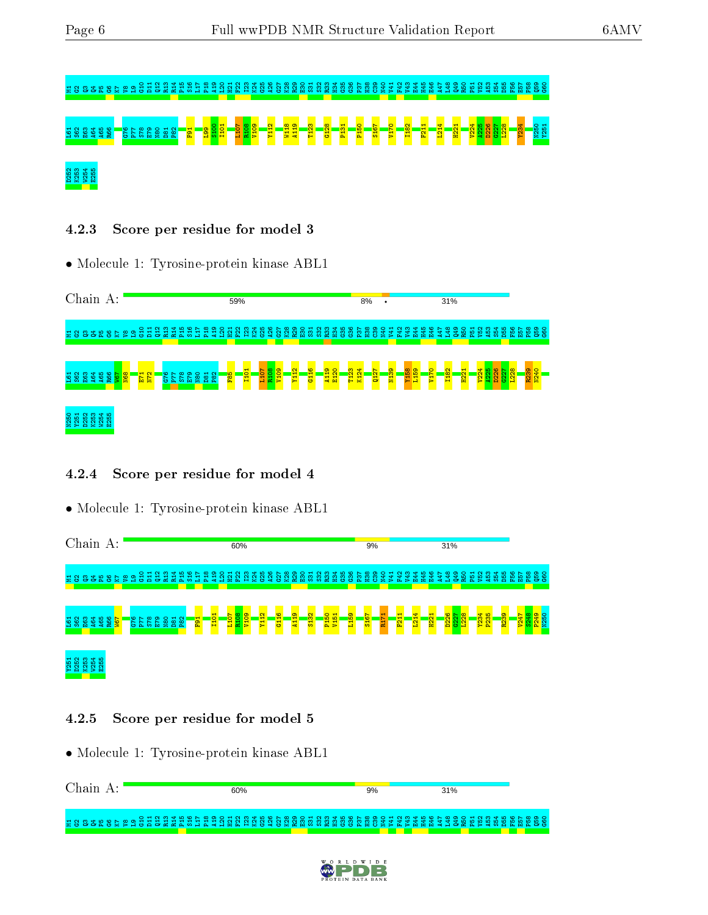# $\approx$  3 3 3 4 5 6 5 6 7 8 9  $\approx$  3  $\approx$  3  $\approx$  3  $\approx$  3  $\approx$  3  $\approx$  3  $\approx$  3  $\approx$  3  $\approx$  6  $\approx$  8  $\approx$  8  $\approx$  8  $\approx$  8  $\approx$  8  $\approx$  8  $\approx$  8  $\approx$  8  $\approx$  8  $\approx$  8  $\approx$  8  $\approx$  8  $\approx$  8  $\approx$  8  $\approx$   $\approx$   $\approx$   $\approx$   $\approx$   $\approx$   $\approx$ 588 \$ \$ \$ <mark>189 A65 S58 S82 T2-8 S58 E79 S129 T21 T31 P31 P31 P31 P12 T21 P31 P21 P21 P21 P31 P31 P31 P31 P31 P21</mark> D252 K253 W254 E255

#### 4.2.3 Score per residue for model 3

• Molecule 1: Tyrosine-protein kinase ABL1



#### 4.2.4 Score per residue for model 4

• Molecule 1: Tyrosine-protein kinase ABL1

|   | Chain                       |     |         |                 | $A$ : |           |        |           |    |                    |   |          |                |          |                        |    |                    |                  | 60%                 |        |                        |        |             |               |   |                                              |                                  |                      |   |               |                 | 9%  |            |   |                 |   |                    |                                  |   | 31%                      |                           |                                          |         |              |    |      |        |        |                              |
|---|-----------------------------|-----|---------|-----------------|-------|-----------|--------|-----------|----|--------------------|---|----------|----------------|----------|------------------------|----|--------------------|------------------|---------------------|--------|------------------------|--------|-------------|---------------|---|----------------------------------------------|----------------------------------|----------------------|---|---------------|-----------------|-----|------------|---|-----------------|---|--------------------|----------------------------------|---|--------------------------|---------------------------|------------------------------------------|---------|--------------|----|------|--------|--------|------------------------------|
| 륳 | 욥                           |     |         |                 |       |           | 223352 |           | -8 | $\circ$ $\pi$<br>Ξ | 품 | ് ന<br>Σ | 로              | π        | л                      | ò. |                    | ы                | Ð                   | ₹<br>₿ | 8                      | ဖ<br>₽ | ÷.          |               | ε |                                              |                                  | 留                    | ဥ | ဣ             | $\infty$<br>曽   | C39 | <b>QHI</b> | Ξ | ਦੇ              | ę |                    | 볿<br>m                           | ₫ |                          | ã                         |                                          | 19<br>Ю | 읾            | ್ಯ | ષ્ઠ  | ဖ<br>盟 | 置<br>留 | $\circ$<br>88                |
| ٩ | ္တင္                        | မ္မ | g       | A <sub>65</sub> | R66   | <b>is</b> |        | <b>C5</b> | Δ. | <b>rn</b>          | Б | g        | 8 <sup>o</sup> | <b>e</b> | <b>E</b> <sub>91</sub> |    | ⊣<br>$\frac{1}{2}$ | L <sub>107</sub> | <b>R108</b><br>V109 |        | $\mathbf{\alpha}$<br>E |        | ¢<br>÷<br>高 | $\sigma$<br>뎔 |   | $\mathbf{\alpha}$<br>$\overline{\text{S13}}$ | $\circ$<br><b>P<sub>15</sub></b> | ÷<br>V <sub>15</sub> |   | e<br>io.<br>큡 | $\frac{316}{5}$ |     | 뤁          |   | F <sub>21</sub> |   | ₩<br>$\frac{1}{2}$ | $\mathbf{r}$<br>$\overline{122}$ |   | <b>to</b><br>$\sim$<br>ε | $\mathbb{S}$<br><b>C5</b> | $\infty$<br>$\overline{\mathbf{c}}$<br>g |         | Y234<br>P235 |    | R239 |        |        | <u>ာ</u><br>tC<br><u>ድ 5</u> |
|   | <b>7251</b><br>0262<br>1253 |     | 54<br>g | 10<br>-io<br>2  |       |           |        |           |    |                    |   |          |                |          |                        |    |                    |                  |                     |        |                        |        |             |               |   |                                              |                                  |                      |   |               |                 |     |            |   |                 |   |                    |                                  |   |                          |                           |                                          |         |              |    |      |        |        |                              |

#### 4.2.5 Score per residue for model 5

| Chain A: | 60%                                                                                                           | 9% | 31% |  |
|----------|---------------------------------------------------------------------------------------------------------------|----|-----|--|
|          | 1983 1983 1983 1984 1985 1986 1986 1986 1987 1988 1989 1989 1989 1980 1981 1982 1983 1984 1985 1986 1986 1986 |    |     |  |

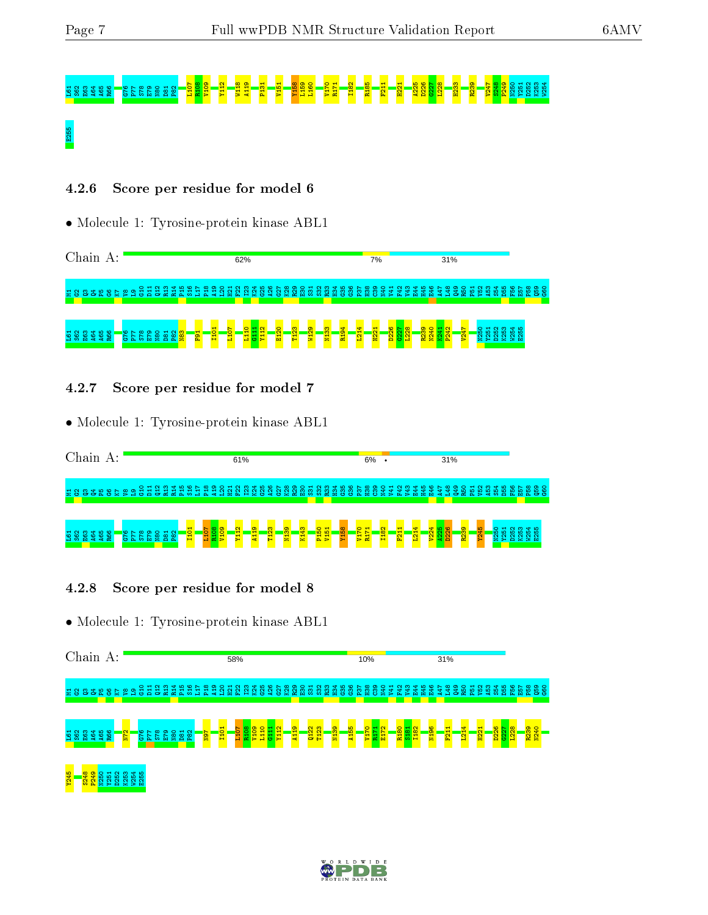# L61 S62 E63 A64 <mark>B03 A64 A65 R108 P77 S78 E79 N80 D81 P131 P131 P131 P131 P131 P131 P131 P247 P131 P247 P131 P24</mark><br>B03 P247 P247 P247 P247 P247 S248 P240 P240 P247 S248 P240 P247 S248 P247 S248 P240 N250 Y251 D252 K253 W254 E255

#### 4.2.6 Score per residue for model 6

• Molecule 1: Tyrosine-protein kinase ABL1

Chain A: 62% 7% 31% M1G2Q3Q4P5G6K7 V8 L9 G10 D11 Q12 R13 R14 P15 S16 L17 P18 A19 L20 H21 F22 I23 K24 G25 A26 G27 K28 R29 E30 S31 S32 R33 H34 G35 G36 P37 H38 C39 N40 V41 F42 V43 E44 H45 E46 A47 L48 Q49 R50 P51 V52 A53 S54 D55 F56 E57 P58 Q59 G60 R194 L214 W254 I101 L107 L110 G111 Y112 E120 T123 W129 N133 H221 D226  $527$ L228 R239 N240 K241  $\frac{242}{2}$  $\frac{47}{24}$ N250 Y251 D252 K253 E255  $\frac{1}{2}$   $\frac{1}{2}$   $\frac{1}{2}$   $\frac{1}{2}$   $\frac{1}{2}$   $\frac{1}{2}$   $\frac{1}{2}$   $\frac{1}{2}$ n 8 8 2 3 3 3<br>8 2 3 3 3 3  $\frac{2}{3}$  $\frac{3}{8}$  $\frac{1}{2}$ 

4.2.7 Score per residue for model 7

• Molecule 1: Tyrosine-protein kinase ABL1

| Chain    |  |  | A: |                    |                                                     |   |                            |   |                             |  |   |                |  | 61%                                      |                |                        |          |           |             |                                       |                     |  |        | 6%                  |     |                    |    |        |                |     |   |                   | 31% |                                          |   |                    |   |   |      |  |     |        |                |
|----------|--|--|----|--------------------|-----------------------------------------------------|---|----------------------------|---|-----------------------------|--|---|----------------|--|------------------------------------------|----------------|------------------------|----------|-----------|-------------|---------------------------------------|---------------------|--|--------|---------------------|-----|--------------------|----|--------|----------------|-----|---|-------------------|-----|------------------------------------------|---|--------------------|---|---|------|--|-----|--------|----------------|
|          |  |  |    |                    | H 3 8 2 8 2 8 5 8 9 3 5 5 5 5 5 5 5 5 5 5 5 5 6 5 6 |   |                            |   |                             |  |   |                |  | <b>រួ</b> ដ្ឋាន្ត្រី និង្គ និ            |                |                        |          | စ္ပာ<br>2 | 858         | ន្ត្រី ខ្លួ ឆ្នំ ន្ត្រី ន្ត្រី ន្ត្រី |                     |  |        |                     | းစွ | <b>OFN</b>         | ₹, | $\sim$ | g <sub>1</sub> |     | 옾 |                   | ஐ   | ဒ္ဓ                                      | ᆔ | $\scriptstyle\sim$ | ø | ₩ |      |  |     |        | <b>B</b><br>88 |
| 588\$\$8 |  |  |    | $\sim$ $\sim$<br>Б | $\infty$<br>蒜                                       | Б | $\circ$ $\cdot$<br>$g$ $g$ | ് | $\mathbf -$<br>$\circ$<br>급 |  | o | <mark>8</mark> |  | $\mathbf{\Omega}$<br>$\blacksquare$<br>₫ | <u>la</u><br>호 | $\mathbf{\alpha}$<br>n | ႜ႙ၟ<br>률 |           | S<br>₩<br>ದ | ន<br>큔                                | ⊣<br>$\blacksquare$ |  | ∼<br>쿈 | $\blacksquare$<br>붙 |     | $\frac{1}{8}$<br>ᅼ |    | Ħ      |                | . . |   | $\mathbf{\alpha}$ |     | $\frac{1}{3}$<br>$\overline{\mathbf{c}}$ |   | 岛                  |   | 알 | នេដន |  | -85 | ഥ<br>ഹ |                |

#### 4.2.8 Score per residue for model 8

| Chain       |          |                             |            |    | A:       |                   |                 |                      |                |                           |   |            |                |   |                             |   |      | 58% |                          |                |     |                  |        |             |   |               |      |         |             |   | 10%              |     |              |   |                   |   |                  |   | 31%           |         |                                     |                 |                         |    |                                                    |   |      |            |  |
|-------------|----------|-----------------------------|------------|----|----------|-------------------|-----------------|----------------------|----------------|---------------------------|---|------------|----------------|---|-----------------------------|---|------|-----|--------------------------|----------------|-----|------------------|--------|-------------|---|---------------|------|---------|-------------|---|------------------|-----|--------------|---|-------------------|---|------------------|---|---------------|---------|-------------------------------------|-----------------|-------------------------|----|----------------------------------------------------|---|------|------------|--|
| 롲           | 888      |                             |            | æ. | ႜၟ       | €                 | ி<br>ஜ          |                      | <b>BE</b>      | $\frac{2}{2}$<br>a.<br>23 |   | <b>Ri4</b> | 읐              | A | ∞                           | g | ္ဂ   | E21 | $\sim$<br>$^{12}$        | $\overline{5}$ | 335 | న                | 527    |             | ຂ |               |      | 34      | န္က         | ్ | នី               | P.  | Вă           | 보 | 놮<br>돧            | ä | ЭF.              | Θ | ą             | eg<br>G | <b>R50</b><br>इ                     | V <sub>52</sub> | 453                     | 54 | D <sub>55</sub><br><b>P</b> <sub>50</sub>          | 盲 | 88   | <b>B</b> 8 |  |
|             | 588\$\$8 |                             |            | စစ |          |                   | <b>MNP</b><br>E |                      | $\circ$ $\sim$ | <b>88855255</b>           | ာ | 0          | H <sub>2</sub> |   | $\blacksquare$<br><b>Pa</b> |   | I101 |     | <b>NOS</b><br>NOS<br>NOS |                |     | $\frac{11}{111}$ | 잌<br>τ | ၜ<br>÷<br>륗 |   | <b>R</b><br>Ē | T123 | ႙ၟ<br>불 | <b>A155</b> |   | V <sub>170</sub> | lz. | R171<br>E172 |   | <mark>옮速 않</mark> |   | N <sub>196</sub> |   | ÷<br><b>R</b> |         | ₩<br>$\blacksquare$<br>$\mathbf{a}$ | 함               | $\overline{\mathbf{a}}$ |    | <mark>ន្ត្រី ន្ត្</mark><br><mark>ខ្លួ ខ្លួ</mark> |   | R239 | S<br>홀     |  |
| <b>Y245</b> |          | $\infty$<br>S <sub>24</sub> | <b>A</b> 2 | o  | R<br>-54 | 25<br>恩<br>×<br>۵ |                 | ₩<br>W <sub>25</sub> | <b>TVT</b>     |                           |   |            |                |   |                             |   |      |     |                          |                |     |                  |        |             |   |               |      |         |             |   |                  |     |              |   |                   |   |                  |   |               |         |                                     |                 |                         |    |                                                    |   |      |            |  |

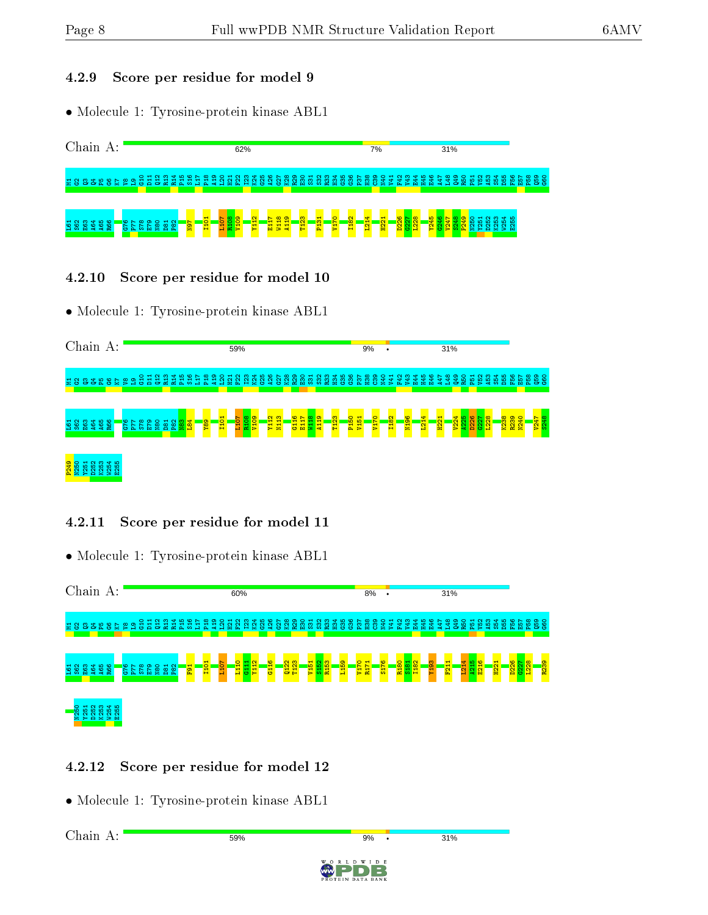Chain A:

 $7%$ 

31%

#### 4.2.9 Score per residue for model 9

• Molecule 1: Tyrosine-protein kinase ABL1

62%

M1G2Q3Q4P5G6K7 V8 L9 G10 D11 Q12 R13 R14 P15 S16 L17 P18 A19 L20 H21 F22 I23 K24 G25 A26 G27 K28 R29 E30 S31 S32 R33 H34 G35 G36 P37 H38 C39 N40 V41 F42 V43 E44 H45 E46 A47 L48 Q49 R50 P51 V52 A53 S54 D55 F56 E57 P58 Q59 G60



#### 4.2.10 Score per residue for model 10

• Molecule 1: Tyrosine-protein kinase ABL1



#### 4.2.11 Score per residue for model 11

• Molecule 1: Tyrosine-protein kinase ABL1



## 4.2.12 Score per residue for model 12

• Molecule 1: Tyrosine-protein kinase ABL1

Chain A:59% 31%  $Q<sub>0</sub>$ ID B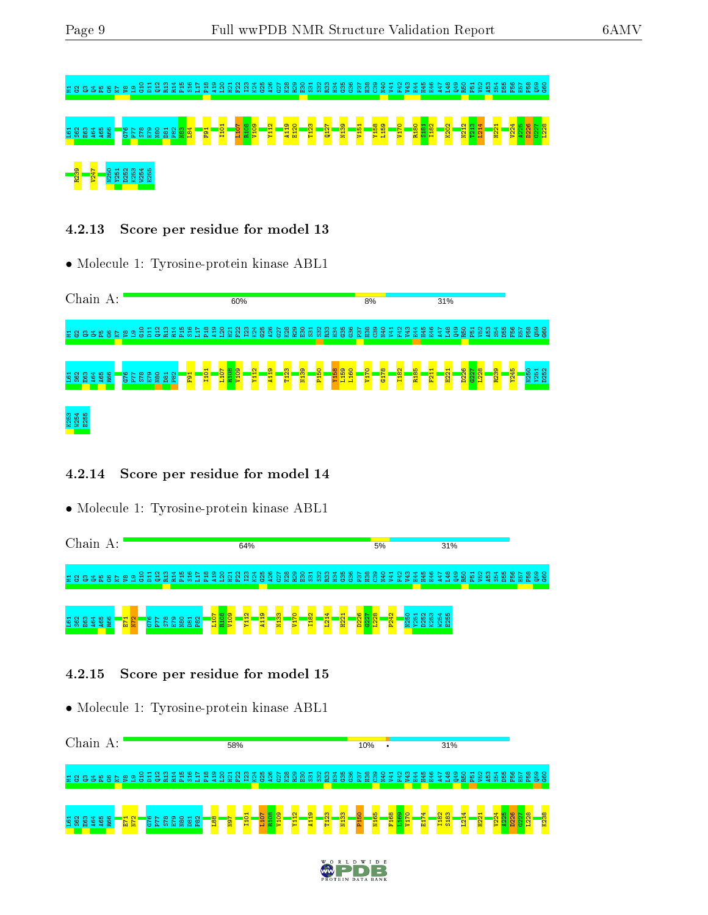# M1G2Q3Q4P5G6K7V8L9G10 D11 Q12 R13 R14 P15 S16 L17 P18 A19 L20 H21 F22 I23 K24 G25 A26 G27 K28 R29 E30 S31 S32 R33 H34 G35 G36 P37 H38 C39 N40 V41 F42 V43 E44 H45 E46 A47 L48 Q49 R50 P51 V52 A53 S54 D55 F56 E57 P58 Q59 G60 L61 S62 E63 A64 A65 R66 G76 P77 S78 E79 N80 D81 P82 N83 L84 F91 I101 L107 R108 V109 Y112 A119 E120 T123 Q127 N139 V151 Y158 L159 V170 R180 S181 I182 K202 N212 T213 L214 H221 V224 A225 D226 G227 L228 <mark>83 V</mark>2 N251 R25<br><mark>23 V</mark>2 N250 R255<br>23 V25 R25 R25

4.2.13 Score per residue for model 13

• Molecule 1: Tyrosine-protein kinase ABL1

| Chain                |                 |                             |                 | A: |                    |     |                  |                 |                 |     |                 |                         |                  |                                         | 60% |                               |               |                |     |                       |                    |    |                        |     | 8%           |                     |     |                 |                     |                     | 31%                         |               |                       |                           |      |                             |                        |             |              |
|----------------------|-----------------|-----------------------------|-----------------|----|--------------------|-----|------------------|-----------------|-----------------|-----|-----------------|-------------------------|------------------|-----------------------------------------|-----|-------------------------------|---------------|----------------|-----|-----------------------|--------------------|----|------------------------|-----|--------------|---------------------|-----|-----------------|---------------------|---------------------|-----------------------------|---------------|-----------------------|---------------------------|------|-----------------------------|------------------------|-------------|--------------|
| 288328               |                 |                             |                 |    | 58                 | ್ತಿ | $\frac{25}{211}$ | 육<br>$\alpha$   | R <sub>13</sub> | R14 | P <sub>15</sub> | ಼≌<br>rη                |                  | o<br>m                                  | ľ۳. | 앉<br><b>C5</b>                | జ<br>ы        | జ<br><b>C5</b> | R29 | E30<br>S<br><b>rn</b> | ္က<br><b>rn</b>    | ္က | န္က<br>m<br>r h        | စ္က | ္က<br>్<br>m | C39<br><b>QPM</b>   | V41 | y43<br><b>P</b> | 54<br>봎             | E46                 | 38<br>VЯ                    | ဒ္ဒ<br>$\sim$ | R <sub>50</sub><br>P. | y52                       | -and | ю<br><b>B</b><br>-čó        | F <sub>56</sub><br>E57 | P58         | <b>aso</b>   |
| <b>Property</b><br>S | <b>NM</b><br>88 | $\blacktriangleleft$<br>္မွ | <u> ဖ</u><br>28 |    | $\sim$ $\sim$<br>동 | Σ   | £5               | $\circ$<br>8884 | ᆔ               | ്   |                 | <b>SHIP</b><br><b>P</b> | I <sub>101</sub> | eg <mark>er</mark><br><mark>Film</mark> |     | 음.<br>$\overline{\mathbf{z}}$ | <b>e</b><br>뒼 | -8<br>F        |     | ecru                  | $\frac{8}{5}$<br>굽 |    | <b>Band</b><br>England |     | <b>DZIA</b>  | $\frac{8}{5}$<br>ੱਡ |     | I182            | S<br><b>CO</b><br>륱 | ਜ਼<br>Ħ<br><b>R</b> | Ē<br>$\mathbf{\alpha}$<br>욥 |               | $\frac{8}{2}$<br>88   | $\frac{8}{2}$<br><b>P</b> |      | $\frac{1}{2}$<br><u>ស្គ</u> | 乌<br><br><b>P</b>      | <b>N250</b> | Y251<br>D252 |
| K <sub>253</sub>     | W254<br>E255    |                             |                 |    |                    |     |                  |                 |                 |     |                 |                         |                  |                                         |     |                               |               |                |     |                       |                    |    |                        |     |              |                     |     |                 |                     |                     |                             |               |                       |                           |      |                             |                        |             |              |

#### 4.2.14 Score per residue for model 14

• Molecule 1: Tyrosine-protein kinase ABL1

| Chain<br>А:                                                                                                            | 64%                                                                                                                                                                                                  | 5%                                                                                                                                                              | 31%                                                                                |
|------------------------------------------------------------------------------------------------------------------------|------------------------------------------------------------------------------------------------------------------------------------------------------------------------------------------------------|-----------------------------------------------------------------------------------------------------------------------------------------------------------------|------------------------------------------------------------------------------------|
|                                                                                                                        |                                                                                                                                                                                                      | EP<br>$\sim$<br>gby<br>4.<br>H45<br>546<br>-2                                                                                                                   | $\bullet$<br>оър<br>$\sim$<br>စ<br>0<br>⊣<br>ന<br>⊲ ഥ<br>ξp<br>음음<br>۴δ<br>Ю<br>řή |
| <b>AG4</b><br>AG5<br>RG6<br>$\frac{1}{\sqrt{2}}$<br><b>588</b><br>ဖ<br>$\sim$<br>~<br>$\overline{r}$<br><b>C5</b><br>Ω | eora<br><mark>Guan</mark><br>$\sigma$<br>$\circ$<br><b>CO</b><br><b>Y112</b><br>$\frac{13}{2}$<br>$\frac{1}{4}$<br><b>E18</b><br>P <sub>82</sub><br>풂<br>V <sub>17</sub><br><sub>N80</sub><br>Ы<br>õ | D226<br>G227<br><b>1228</b><br>₩<br>P242<br>ന<br>$\sim$<br>⊣<br>∘<br>ਜ਼<br>$\frac{1}{2}$<br>$\overline{\mathbf{E}}$<br>N <sub>25</sub><br>ಸಿ<br><b>D25</b><br>홪 | 40<br>홓<br>- 10                                                                    |

#### 4.2.15 Score per residue for model 15



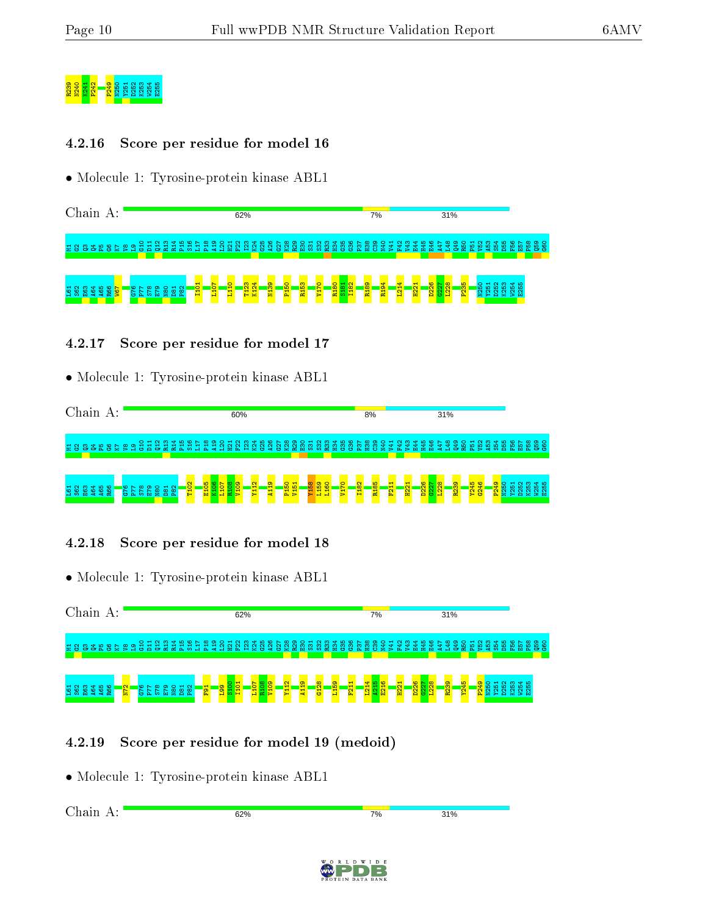# R241 P2<br><u>R241 P3</u><br>202<u>4 P2</u><br>2024 P260 R252 R25

#### 4.2.16 Score per residue for model 16

• Molecule 1: Tyrosine-protein kinase ABL1

Chain A: 62%  $7%$ 31% M1G2Q3Q4P5G6K7 V8 L9 G10 D11 Q12 R13 R14 P15 S16 L17 P18 A19 L20 H21 F22 I23 K24 G25 A26 G27 K28 R29 E30 S31 S32 R33 H34 G35 G36 P37 H38 C39 N40 V41 F42 V43 E44 H45 E46 A47 L48 Q49 R50 P51 V52  $\frac{53}{4}$ S54 D55 F56 E57 P58 Q59  $\frac{8}{3}$ L107  $\frac{110}{110}$ T123 K124 N139 P150 R153 V170 R180 I182 R189 R194 L214 D226 G227 L228 P235 N250 D252 K253 W254 E255 I101 S181 H221 Y251  $5^{1}$ S62 E63 A64 A65  $\frac{86}{1}$ W67 G76 P77  $578$ E79 N80 D81  $\frac{2}{2}$ 

#### 4.2.17 Score per residue for model 17

• Molecule 1: Tyrosine-protein kinase ABL1

Chain A: 60% 8% 31% M1G2Q3Q4P5G6K7 V8 L9 G10 D11 Q12 R13 R14 P15 S16 L17 P18 A19 L20 H21 F22 I23 K24 G25 A26 G27 K28 R29 E30 S31 S32 R33 H34 G35 G36 P37 H38 C39 N40 V41 F42 V43 E44 H45 E46 A47 L48 Q49 R50 P51 V52 A53 S54 D55 F56 E57 P58 Q59 G60 T102 E105 K106 L107 R108 V109 Y112 A119 P150 V151 Y158 L159 L160 V170 I182 R185 F211 H221 D226  $\frac{1227}{2}$ L228 R239 Y245 G246 P249 N250 Y251 D252 K253 W254 E255 L61 S62 E63 A64 A65 R66 G76 P77 S78 E79 N80 D81  $\frac{2}{5}$ 

#### 4.2.18 Score per residue for model 18

• Molecule 1: Tyrosine-protein kinase ABL1



#### 4.2.19 Score per residue for model 19 (medoid)

62%

• Molecule 1: Tyrosine-protein kinase ABL1

Chain A:

7%

31%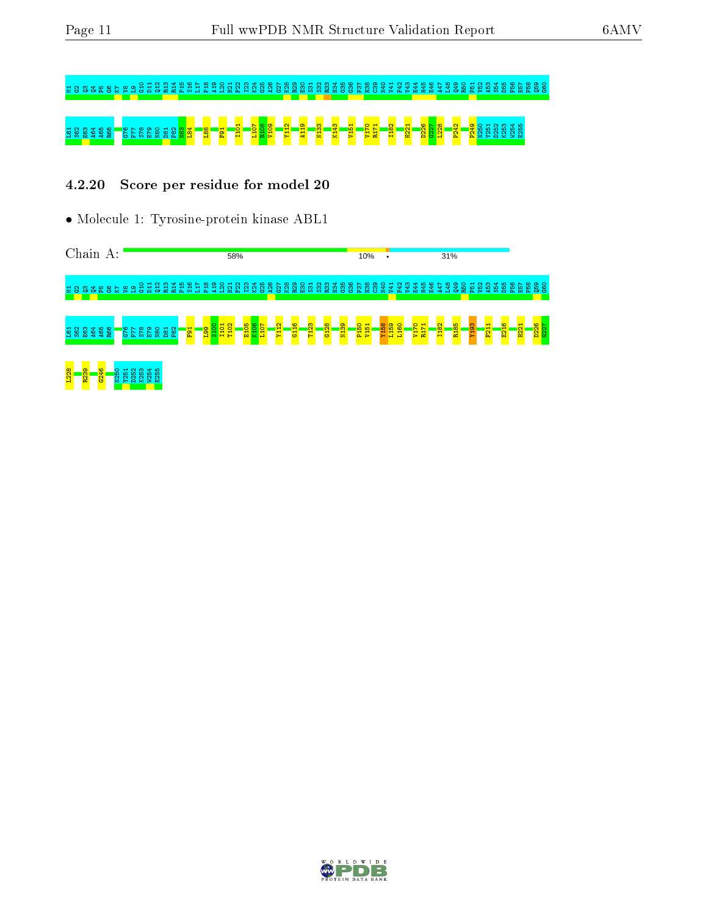# $\approx$  8 8 8 8 6 6 6 6 6 6 6 6 6 7  $\approx$  8 6 7  $\approx$  8 7  $\approx$  8 7  $\approx$  8 7  $\approx$  8  $\approx$  8  $\approx$  8  $\approx$  8  $\approx$  8  $\approx$  8  $\approx$  8  $\approx$  8  $\approx$  8  $\approx$  8  $\approx$  8  $\approx$  8  $\approx$  8  $\approx$  8  $\approx$  8  $\approx$  8  $\approx$   $\approx$   $\approx$   $\approx$   $\approx$   $\approx$   $\approx$   $\approx$ L61 S62 E63 A64 A65 R66 G76 P77 S78 E79 N80 D81 P82 N83 L84 L88 F91 I101 L107 R108 V109 Y112 A119 N133 K143 V151 V170 R171 I182 H221 D226 G227 L228 P242 P249 N250 Y251 D252 K253 W254 E255

#### 4.2.20 Score per residue for model 20

• Molecule 1: Tyrosine-protein kinase ABL1

Chain A: 58% 10% 31% M1G2Q3Q4P5G6K7 V8 L9 G10 D11 Q12 R13 R14 P15 S16 L17 P18 A19 L20 H21 F22 I23 K24 G25 A26 G27 K28 R29 E30 S31 S32 R33 H34 G35 G36 P37 H38 C39 N40 V41 F42 V43 E44 H45 E46 A47 L48 Q49 R50 P51 V52 A53 S54 D55 F56 E57 P58 Q59 G60  $\frac{5100}{2}$ I101 T102 E105 K106 L107 Y112 G116 T123 G128 N139 P150 V151 Y158 L159 L160 V170 R171 I182 R185 Y193 F211 E216 H221 D226  $527$ A64  $5^{1}$ S62 E63 A65  $\frac{8}{10}$ G76 P77 S78 E79 N80 D81  $\frac{2}{3}$  $\frac{1}{2}$  $\frac{1}{2}$ L228 R239 G246 N250 Y251 D252 K253 W254 E255

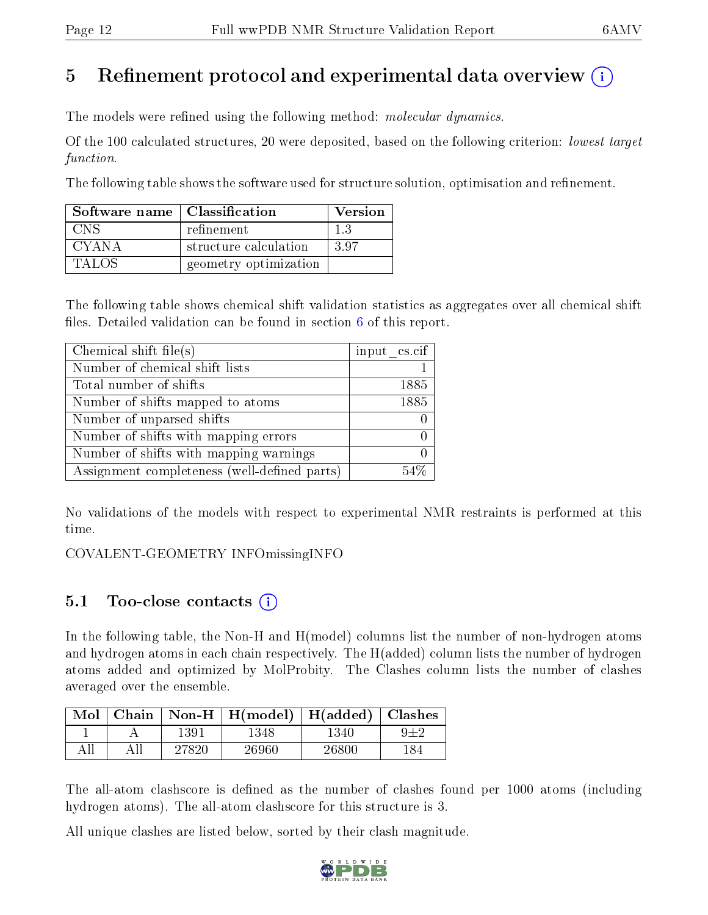# 5 Refinement protocol and experimental data overview  $\binom{1}{k}$

The models were refined using the following method: *molecular dynamics*.

Of the 100 calculated structures, 20 were deposited, based on the following criterion: lowest target function.

The following table shows the software used for structure solution, optimisation and refinement.

| Software name   Classification |                       | <b>Version</b> |
|--------------------------------|-----------------------|----------------|
| CNS                            | refinement            |                |
| CYANA                          | structure calculation | -3.97          |
| TALOS                          | geometry optimization |                |

The following table shows chemical shift validation statistics as aggregates over all chemical shift files. Detailed validation can be found in section  $6$  of this report.

| Chemical shift file(s)                       | $input_c$ cs.cif |
|----------------------------------------------|------------------|
| Number of chemical shift lists               |                  |
| Total number of shifts                       | 1885             |
| Number of shifts mapped to atoms             | 1885             |
| Number of unparsed shifts                    |                  |
| Number of shifts with mapping errors         |                  |
| Number of shifts with mapping warnings       |                  |
| Assignment completeness (well-defined parts) |                  |

No validations of the models with respect to experimental NMR restraints is performed at this time.

COVALENT-GEOMETRY INFOmissingINFO

## 5.1 Too-close contacts  $(i)$

In the following table, the Non-H and H(model) columns list the number of non-hydrogen atoms and hydrogen atoms in each chain respectively. The H(added) column lists the number of hydrogen atoms added and optimized by MolProbity. The Clashes column lists the number of clashes averaged over the ensemble.

| $Mol$   Chain |       | $\vert$ Non-H $\vert$ H(model) $\vert$ H(added) $\vert$ Clashes |       |  |
|---------------|-------|-----------------------------------------------------------------|-------|--|
|               | 1391  | 1348                                                            | 1340  |  |
|               | 27820 | 26960                                                           | 26800 |  |

The all-atom clashscore is defined as the number of clashes found per 1000 atoms (including hydrogen atoms). The all-atom clashscore for this structure is 3.

All unique clashes are listed below, sorted by their clash magnitude.

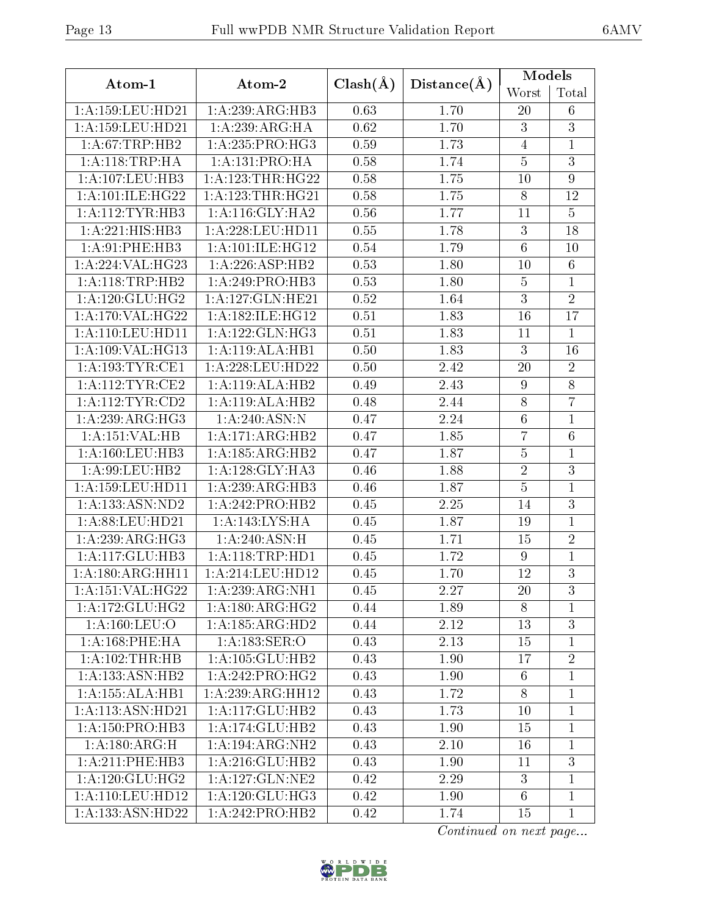|--|

|                      |                      |              |             | Models           |                  |
|----------------------|----------------------|--------------|-------------|------------------|------------------|
| Atom-1               | Atom-2               | $Clash(\AA)$ | Distance(A) | Worst            | Total            |
| 1:A:159:LEU:HD21     | 1:A:239:ARG:HB3      | 0.63         | 1.70        | 20               | 6                |
| 1: A: 159: LEU: HD21 | 1:A:239:ARG:HA       | 0.62         | 1.70        | 3                | $\overline{3}$   |
| 1: A:67:TRP:HB2      | 1:A:235:PRO:HG3      | 0.59         | 1.73        | $\overline{4}$   | $\mathbf{1}$     |
| 1:A:118:TRP:HA       | 1: A: 131: PRO: HA   | 0.58         | 1.74        | $\bf 5$          | $\overline{3}$   |
| 1: A: 107: LEU: HB3  | 1: A: 123: THR: HG22 | 0.58         | 1.75        | 10               | $\boldsymbol{9}$ |
| 1:A:101:ILE:HG22     | 1: A: 123: THR: HG21 | 0.58         | 1.75        | $8\,$            | 12               |
| 1:A:112:TYR:HB3      | 1: A:116: GLY:HA2    | 0.56         | 1.77        | 11               | $\overline{5}$   |
| 1:A:221:HIS:HB3      | 1:A:228:LEU:HD11     | 0.55         | 1.78        | $\boldsymbol{3}$ | 18               |
| 1:A:91:PHE:HB3       | 1: A:101: ILE: HG12  | 0.54         | 1.79        | $\,6$            | 10               |
| 1:A:224:VAL:HG23     | 1:A:226:ASP:HB2      | 0.53         | 1.80        | 10               | $\overline{6}$   |
| 1:A:118:TRP:HB2      | 1:A:249:PRO:HB3      | 0.53         | 1.80        | $\bf 5$          | $\mathbf{1}$     |
| 1: A:120: GLU: HG2   | 1:A:127:GLN:HE21     | 0.52         | 1.64        | $\overline{3}$   | $\overline{2}$   |
| 1:A:170:VAL:HG22     | 1:A:182:ILE:HG12     | 0.51         | 1.83        | 16               | 17               |
| 1:A:110:LEU:HD11     | 1:A:122:GLN:HG3      | 0.51         | 1.83        | 11               | $\overline{1}$   |
| 1:A:109:VAL:HG13     | 1:A:119:ALA:HB1      | 0.50         | 1.83        | $\sqrt{3}$       | 16               |
| 1:A:193:TYR:CE1      | 1:A:228:LEU:HD22     | 0.50         | 2.42        | 20               | $\overline{2}$   |
| $1:$ A:112:TYR:CE2   | 1:A:119:ALA:HB2      | 0.49         | 2.43        | $\boldsymbol{9}$ | $\overline{8}$   |
| 1: A:112:TYR:CD2     | 1:A:119:ALA:HB2      | 0.48         | 2.44        | $8\,$            | $\overline{7}$   |
| 1: A:239:ARG:HG3     | 1:A:240:ASN:N        | 0.47         | 2.24        | $\,6$            | $\mathbf{1}$     |
| 1:A:151:VAL:HB       | 1:A:171:ARG:HB2      | 0.47         | 1.85        | $\overline{7}$   | $6\phantom{.}6$  |
| 1: A: 160: LEU: HB3  | 1:A:185:ARG:HB2      | 0.47         | 1.87        | $\bf 5$          | $\mathbf{1}$     |
| 1: A:99: LEU: HB2    | 1: A:128: GLY:HA3    | 0.46         | 1.88        | $\overline{2}$   | $\overline{3}$   |
| 1: A: 159: LEU: HD11 | 1:A:239:ARG:HB3      | 0.46         | 1.87        | $\overline{5}$   | $\mathbf 1$      |
| 1:A:133:ASN:ND2      | 1:A:242:PRO:HB2      | 0.45         | 2.25        | 14               | $\overline{3}$   |
| 1:A:88:LEU:HD21      | 1:A:143:LYS:HA       | 0.45         | 1.87        | 19               | $\overline{1}$   |
| 1:A:239:ARG:HG3      | 1: A:240: ASN:H      | 0.45         | 1.71        | 15               | $\overline{2}$   |
| 1:A:117:GLU:HB3      | 1: A:118:TRP:HD1     | 0.45         | 1.72        | $\boldsymbol{9}$ | $\mathbf{1}$     |
| 1:A:180:ARG:HH11     | 1:A:214:LEU:HD12     | 0.45         | 1.70        | 12               | 3                |
| 1: A: 151: VAL: HG22 | $1:$ A:239:ARG:NH1   | 0.45         | 2.27        | 20               | 3                |
| 1: A:172: GLU: HG2   | 1: A:180: ARG: HG2   | 0.44         | 1.89        | 8                | 1                |
| 1: A: 160: LEU: O    | 1:A:185:ARG:HD2      | 0.44         | 2.12        | 13               | 3                |
| 1: A:168: PHE: HA    | 1:A:183:SER:O        | 0.43         | 2.13        | 15               | 1                |
| 1:A:102:THR:HB       | 1:A:105:GLU:HB2      | 0.43         | 1.90        | 17               | $\overline{2}$   |
| 1: A: 133: ASN: HB2  | 1:A:242:PRO:HG2      | 0.43         | 1.90        | $6\phantom{.}6$  | $\mathbf 1$      |
| 1:A:155:ALA:HB1      | 1:A:239:ARG:HH12     | 0.43         | 1.72        | 8                | $\mathbf{1}$     |
| 1: A:113: ASN: HD21  | 1:A:117:GLU:HB2      | 0.43         | 1.73        | 10               | $\overline{1}$   |
| 1:A:150:PRO:HB3      | 1:A:174:GLU:HB2      | 0.43         | 1.90        | 15               | $\mathbf{1}$     |
| 1:A:180:ARG:H        | 1:A:194:ARG:NH2      | 0.43         | 2.10        | 16               | 1                |
| $1: A:211:$ PHE:HB3  | 1: A:216: GLU:HB2    | 0.43         | 1.90        | 11               | 3                |
| 1: A:120: GLU: HG2   | 1:A:127:GLN:NE2      | 0.42         | 2.29        | 3                | $\mathbf 1$      |
| 1:A:110:LEU:HD12     | 1: A:120: GLU:HG3    | 0.42         | 1.90        | 6                | 1                |
| 1:A:133:ASN:HD22     | 1:A:242:PRO:HB2      | 0.42         | 1.74        | 15               | $\mathbf{1}$     |

Continued on next page...

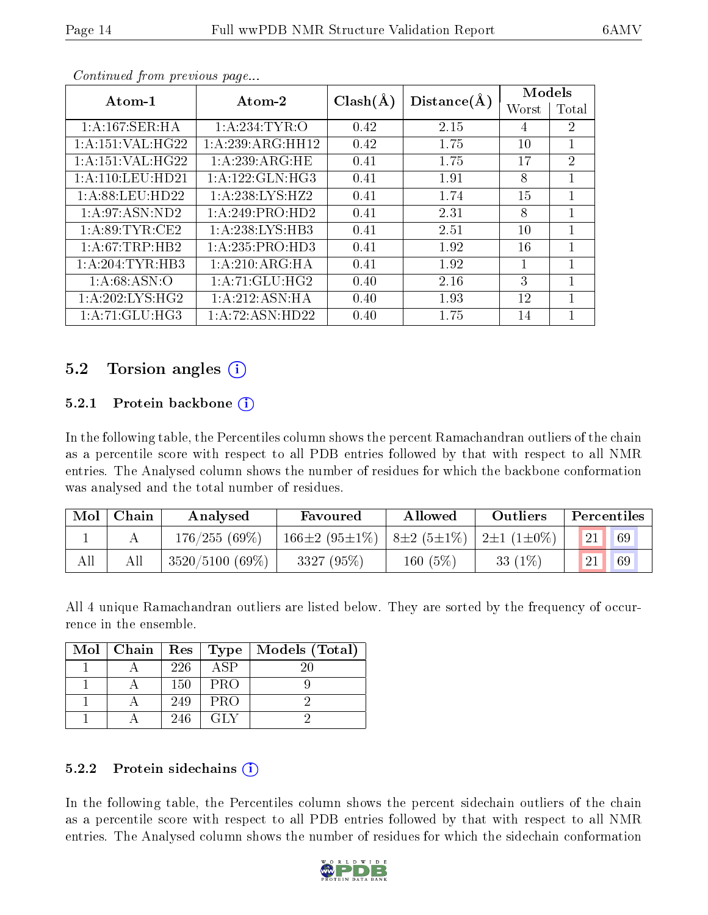|                      |                              |              |             | Models         |                |
|----------------------|------------------------------|--------------|-------------|----------------|----------------|
| Atom-1               | Atom-2                       | $Clash(\AA)$ | Distance(A) | Worst          | Total          |
| 1: A:167: SER: HA    | 1: A:234:TYR:O               | 0.42         | 2.15        | $\overline{4}$ | 2              |
| 1: A: 151: VAL: HG22 | 1: A:239: ARG: HH12          | 0.42         | 1.75        | 10             | $\mathbf{1}$   |
| 1:A:151:VAL:HG22     | 1:A:239:ARG:HE               | 0.41         | 1.75        | 17             | $\overline{2}$ |
| 1: A:110:LEU:HD21    | $1:A:122:GLN:\overline{HG3}$ | 0.41         | 1.91        | 8              | 1              |
| 1: A:88: LEU:HD22    | 1: A:238: LYS: HZ2           | 0.41         | 1.74        | 15             | 1              |
| 1: A:97: ASN:ND2     | 1:A:249:PRO:HD2              | 0.41         | 2.31        | 8              | 1              |
| 1: A:89: TYR: CE2    | 1:A:238:LYS:HB3              | 0.41         | 2.51        | 10             | 1              |
| 1:A:67:TRP:HB2       | 1:A:235:PRO:HD3              | 0.41         | 1.92        | 16             | 1              |
| 1: A:204:TYR:HB3     | 1:A:210:ARG:HA               | 0.41         | 1.92        | 1              | 1              |
| 1: A:68: ASN:O       | 1:A:71:GLU:HG2               | 0.40         | 2.16        | 3              | 1              |
| 1: A:202: LYS: HG2   | 1:A:212:ASN:HA               | 0.40         | 1.93        | 12             | 1              |
| 1: A:71: GLU:HG3     | 1:A:72:ASN:HD22              | 0.40         | 1.75        | 14             |                |

Continued from previous page...

## 5.2 Torsion angles (i)

#### 5.2.1 Protein backbone  $(i)$

In the following table, the Percentiles column shows the percent Ramachandran outliers of the chain as a percentile score with respect to all PDB entries followed by that with respect to all NMR entries. The Analysed column shows the number of residues for which the backbone conformation was analysed and the total number of residues.

| Mol | Chain<br>Analysed |                   | Favoured                   | Allowed          | Outliers                     | Percentiles |  |  |
|-----|-------------------|-------------------|----------------------------|------------------|------------------------------|-------------|--|--|
|     |                   | 176/255(69%)      | 166 $\pm 2$ (95 $\pm$ 1\%) | $8\pm2(5\pm1\%)$ | $\pm 2 \pm 1$ (1 $\pm 0\%$ ) | 21<br>69    |  |  |
| All |                   | $3520/5100(69\%)$ | 3327 (95%)                 | 160 $(5%)$       | 33 $(1%)$                    | 69          |  |  |

All 4 unique Ramachandran outliers are listed below. They are sorted by the frequency of occurrence in the ensemble.

| $Mol$   Chain |     | Res   Type | Models (Total) |
|---------------|-----|------------|----------------|
|               | 226 | ASP        | 20             |
|               | 150 | <b>PRO</b> |                |
|               | 249 | <b>PRO</b> |                |
|               | 246 | GLY        |                |

#### 5.2.2 Protein sidechains  $(i)$

In the following table, the Percentiles column shows the percent sidechain outliers of the chain as a percentile score with respect to all PDB entries followed by that with respect to all NMR entries. The Analysed column shows the number of residues for which the sidechain conformation

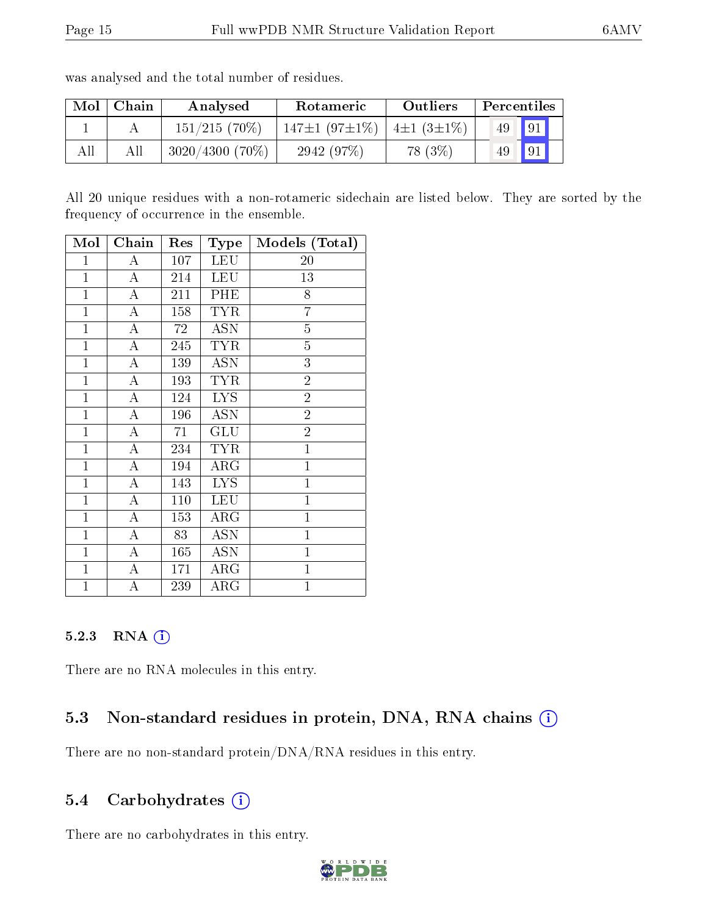| Mol | Chain | Analysed          | Rotameric           | Outliers                     | Percentiles |    |  |
|-----|-------|-------------------|---------------------|------------------------------|-------------|----|--|
|     |       | $151/215(70\%)$   | $147\pm1(97\pm1\%)$ | $\pm 4 \pm 1$ (3 $\pm 1\%$ ) | 49          | 91 |  |
|     |       | $3020/4300$ (70%) | 2942 (97%)          | 78 (3\%)                     | 49          | 91 |  |

was analysed and the total number of residues.

All 20 unique residues with a non-rotameric sidechain are listed below. They are sorted by the frequency of occurrence in the ensemble.

| Mol            | Chain              | Res | Type                    | Models (Total) |
|----------------|--------------------|-----|-------------------------|----------------|
| $\mathbf{1}$   | А                  | 107 | <b>LEU</b>              | 20             |
| $\mathbf{1}$   | A                  | 214 | <b>LEU</b>              | 13             |
| $\mathbf{1}$   | $\boldsymbol{A}$   | 211 | PHE                     | 8              |
| $\mathbf{1}$   | A                  | 158 | <b>TYR</b>              | $\overline{7}$ |
| $\mathbf{1}$   | A                  | 72  | <b>ASN</b>              | $\overline{5}$ |
| $\mathbf{1}$   | $\overline{\rm A}$ | 245 | <b>TYR</b>              | $\overline{5}$ |
| $\mathbf{1}$   | A                  | 139 | <b>ASN</b>              | 3              |
| $\mathbf{1}$   | $\boldsymbol{A}$   | 193 | <b>TYR</b>              | $\overline{2}$ |
| $\mathbf{1}$   | A                  | 124 | $\overline{L}YS$        | $\overline{2}$ |
| $\mathbf{1}$   | A                  | 196 | <b>ASN</b>              | $\overline{2}$ |
| $\mathbf{1}$   | A                  | 71  | GLU                     | $\overline{2}$ |
| $\mathbf{1}$   | $\boldsymbol{A}$   | 234 | TYR                     | $\mathbf{1}$   |
| $\mathbf{1}$   | A                  | 194 | ${\rm ARG}$             | $\overline{1}$ |
| $\mathbf{1}$   | $\overline{A}$     | 143 | <b>LYS</b>              | $\mathbf{1}$   |
| $\mathbf{1}$   | A                  | 110 | LEU                     | $\overline{1}$ |
| $\mathbf{1}$   | A                  | 153 | ${\rm ARG}$             | $\mathbf{1}$   |
| $\mathbf{1}$   | $\boldsymbol{A}$   | 83  | <b>ASN</b>              | $\mathbf{1}$   |
| $\mathbf{1}$   | A                  | 165 | $\overline{\text{ASN}}$ | $\mathbf{1}$   |
| $\mathbf{1}$   | А                  | 171 | $\rm{ARG}$              | $\mathbf{1}$   |
| $\overline{1}$ | A                  | 239 | ${\rm ARG}$             | $\mathbf{1}$   |

## 5.2.3 RNA (i)

There are no RNA molecules in this entry.

## 5.3 Non-standard residues in protein, DNA, RNA chains (i)

There are no non-standard protein/DNA/RNA residues in this entry.

## 5.4 Carbohydrates  $(i)$

There are no carbohydrates in this entry.

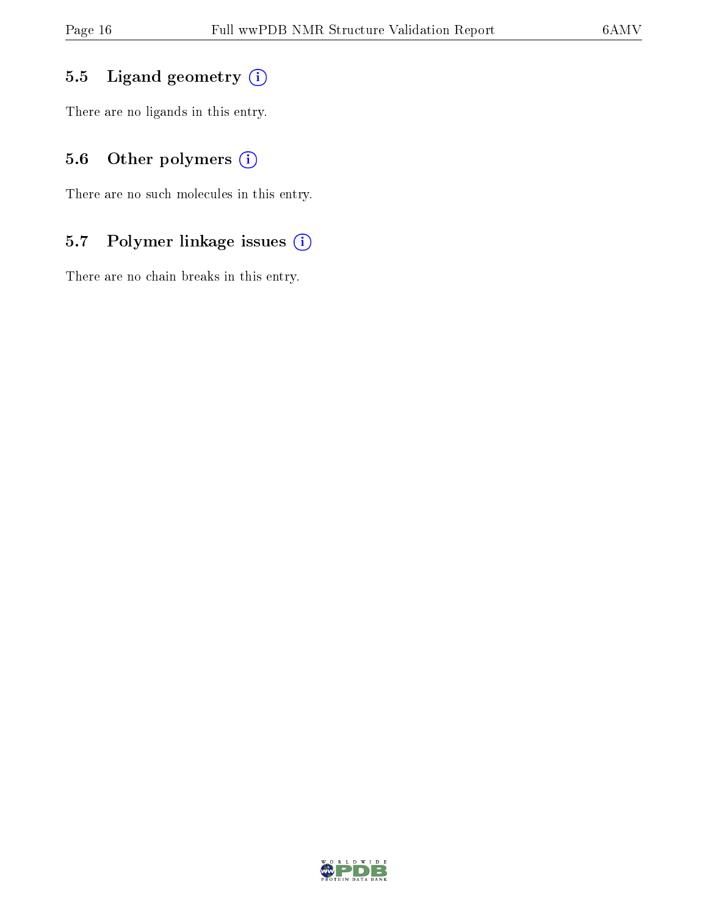# 5.5 Ligand geometry  $(i)$

There are no ligands in this entry.

# 5.6 [O](https://www.wwpdb.org/validation/2017/NMRValidationReportHelp#nonstandard_residues_and_ligands)ther polymers (i)

There are no such molecules in this entry.

# 5.7 Polymer linkage issues (i)

There are no chain breaks in this entry.

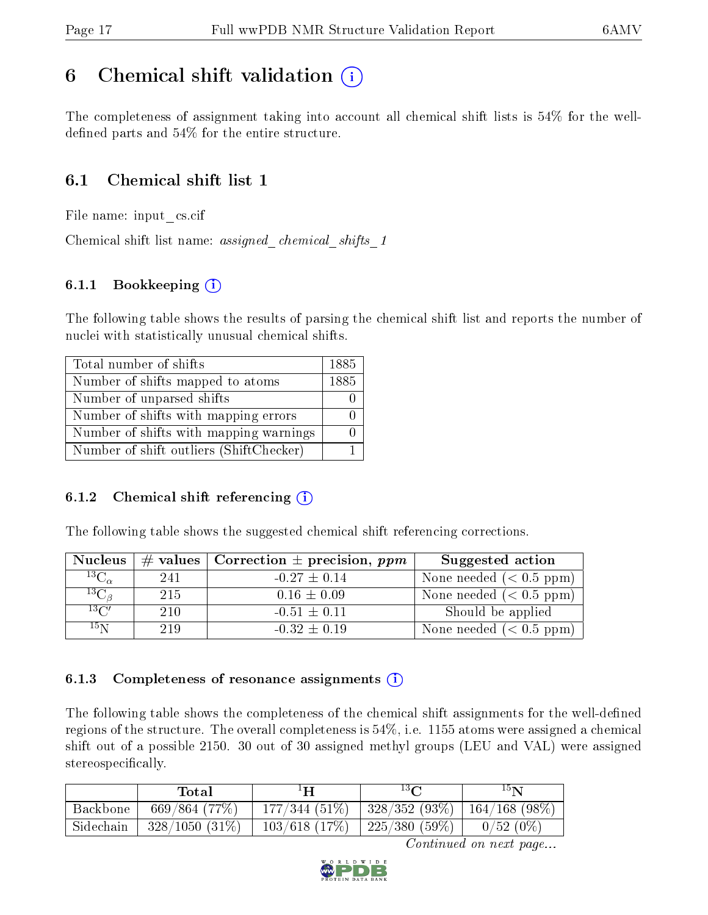# <span id="page-16-0"></span>6 Chemical shift validation  $\binom{1}{k}$

The completeness of assignment taking into account all chemical shift lists is 54% for the welldefined parts and  $54\%$  for the entire structure.

## 6.1 Chemical shift list 1

File name: input\_cs.cif

Chemical shift list name: *assigned\_chemical\_shifts\_1* 

#### 6.1.1 Bookkeeping (i)

The following table shows the results of parsing the chemical shift list and reports the number of nuclei with statistically unusual chemical shifts.

| Total number of shifts                  | 1885 |
|-----------------------------------------|------|
| Number of shifts mapped to atoms        | 1885 |
| Number of unparsed shifts               |      |
| Number of shifts with mapping errors    |      |
| Number of shifts with mapping warnings  |      |
| Number of shift outliers (ShiftChecker) |      |

#### 6.1.2 Chemical shift referencing  $(i)$

The following table shows the suggested chemical shift referencing corrections.

| <b>Nucleus</b>     |     | # values   Correction $\pm$ precision, ppm | Suggested action           |
|--------------------|-----|--------------------------------------------|----------------------------|
| $^{13}C_{\alpha}$  | 241 | $-0.27 \pm 0.14$                           | None needed $(0.5 ppm)$    |
| ${}^{13}C_{\beta}$ | 215 | $0.16 \pm 0.09$                            | None needed ( $< 0.5$ ppm) |
| $13\text{C}$       | 210 | $-0.51 \pm 0.11$                           | Should be applied          |
| $15\,\mathrm{N}$   | 219 | $-0.32 \pm 0.19$                           | None needed $(< 0.5$ ppm)  |

#### 6.1.3 Completeness of resonance assignments  $(i)$

The following table shows the completeness of the chemical shift assignments for the well-defined regions of the structure. The overall completeness is 54%, i.e. 1155 atoms were assigned a chemical shift out of a possible 2150. 30 out of 30 assigned methyl groups (LEU and VAL) were assigned stereospecifically.

|           | Total            | ŀН              | $13\Omega$                                | $15\mathbf{N}$ |  |
|-----------|------------------|-----------------|-------------------------------------------|----------------|--|
| Backbone  | 669/864(77%)     | 177/344(51%)    | $\mid$ 328/352 (93%) $\mid$ 164/168 (98%) |                |  |
| Sidechain | $328/1050(31\%)$ | $103/618$ (17%) | $225/380(59%)$                            | $0/52(0\%)$    |  |

Continued on next page...